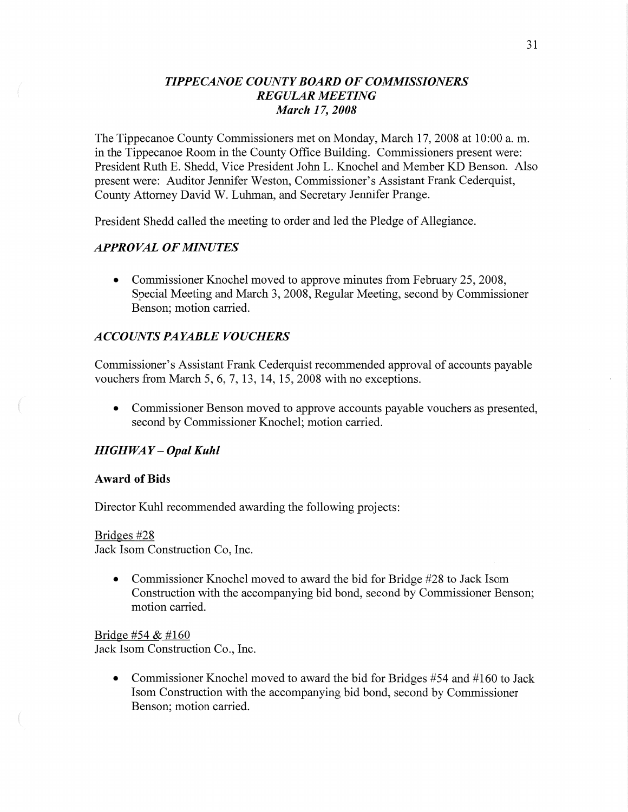## *TIPPECANOE COUNT Y BOARD* OF *COMMSSIONERS REGULAR MEETING March* 17, *2008*

The Tippecanoe County Commissioners met on Monday, March 17, 2008 at 10:00 a. m. in the Tippecanoe Room in the County Office Building. Commissioners present were: President Ruth B. Shedd, Vice President John L. Knochel and Member KD Benson. Also present were: Auditor Jennifer Weston, Commissioner's Assistant Frank Cederquist, County Attorney David W. Luhman, and Secretary Jennifer Prange.

President Shedd called the meeting to order and led the Pledge of Allegiance.

### *APPROVAL* OF *MINUTES*

• Commissioner Knochel moved to approve minutes from February 25, 2008, Special Meeting and March 3, 2008, Regular Meeting, second by Commissioner Benson; motion carried.

### *A* CCO UN *T S* PA *YABLE VOUCHERS*

Commissioner's Assistant Frank Cederquist recommended approval of accounts payable vouchers from March 5, 6, 7, 13, 14, 15, 2008 with no exceptions.

**0** Commissioner Benson moved to approve accounts payable vouchers as presented, second by Commissioner Knochel; motion carried.

### *HIGHWAY* **—** *Opal Kuhl*

#### **Award** of **Bids**

Director Kuhl recommended awarding the following projects:

### Bridges #28

Jack Isom Construction Co, **Inc.** 

**0** Commissioner Knochel moved to award the bid for Bridge #28 to Jack Isom Construction with the accompanying bid bond, second by Commissioner Benson; motion carried.

Bridge #54 & #160 Jack Isom Construction Co., Inc.

> **0** Commissioner Knochel moved to award the bid for Bridges #54 and #160 to Jack Isom Construction with the accompanying bid bond, second by Commissioner Benson; motion carried.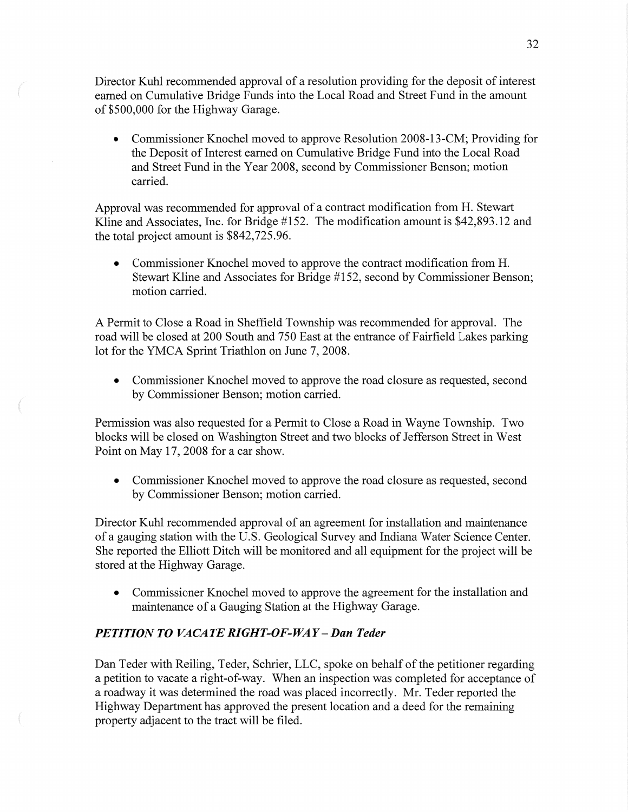Director **Kuhl** recommended approval of a resolution providing for the deposit of interest earned on Cumulative Bridge Funds into the Local Road and Street **Fund** in the amount of \$500,000 for the Highway Garage.

*0* Commissioner Knochel moved to approve Resolution 2008-13-CM; Providing for the Deposit of Interest earned on Cumulative Bridge Fund into the Local Road and Street Fund in the Year 2008, second by Commissioner Benson; motion carried.

Approval was recommended for approval of a contract modification from H. Stewart Kline and Associates, Inc. for Bridge #152. The modification amount is \$42,893.12 and the total project amount is \$842,725.96.

**0** Commissioner Knochel moved to approve the contract modification from H. Stewart Kline and Associates for Bridge #152, second by Commissioner Benson; motion carried.

**A** Permit to Close a Road in Sheffield Township was recommended for approval. The road will be closed at 200 South and 750 East at the entrance of Fairfield Lakes parking lot for the YMCA Sprint Triathlon on June 7, 2008.

**0** Commissioner Knochel moved to approve the road closure as requested, second by Commissioner Benson; motion carried.

Permission was also requested for a Permit to Close a Road in Wayne Township. Two blocks will be closed on Washington Street and two blocks of Jefferson Street in West Point on May 17, 2008 for a car show.

*0* Commissioner Knochel moved to approve the road closure as requested, second by Commissioner Benson; motion carried.

Director **Kuhl** recommended approval of an agreement for installation and maintenance of a gauging station with the US. Geological Survey and Indiana Water Science Center. She reported the Elliott Ditch will be monitored and all equipment for the project will be stored at the Highway Garage.

**0** Commissioner Knochel moved to approve the agreement for the installation and maintenance of a Gauging Station at the Highway Garage.

# *PETITION* TO *VACATERIGHT-OF-WAY—Dan Teder*

Dan Teder with Reiling, Teder, Schrier, LLC, spoke on behalf of the petitioner regarding a petition to vacate a right-of-way. When an inspection was completed for acceptance of **<sup>a</sup>**roadway it was determined the road was placed incorrectly. Mr. Teder reported the Highway Department has approved the present location and a deed for the remaining property adjacent to the tract Will be filed.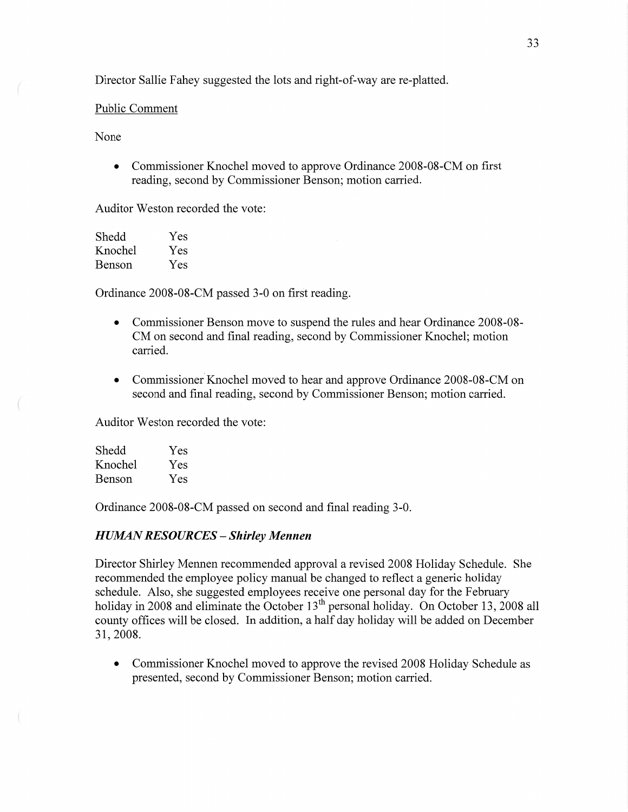Director Sallie Fahey suggested the lots and right-of-way are re-platted.

### Public Comment

None

• Commissioner Knochel moved to approve Ordinance 2008-08-CM on first reading, second by Commissioner Benson; motion carried.

Auditor Weston recorded the vote:

| Shedd   | Yes |
|---------|-----|
| Knochel | Yes |
| Benson  | Yes |

Ordinance 2008-08-CM passed 3-0 on first reading.

- **0** Commissioner Benson move to suspend the rules and hear Ordinance 2008-08- CM on second and final reading, second by Commissioner Knochel; motion carried.
- Commissioner Knochel moved to hear and approve Ordinance 2008-08-CM on second and final reading, second by Commissioner Benson; motion carried.

Auditor Weston recorded the vote:

| Shedd   | Yes |
|---------|-----|
| Knochel | Yes |
| Benson  | Yes |

Ordinance 2008—08-CM passed on second and final reading 3-0.

# *H UZIMN RESOURCES* — *Shirley Mennen*

Director Shirley Mennen recommended approval a revised 2008 Holiday Schedule. She recommended the employee policy manual be changed to reflect a generic holiday schedule. Also, she suggested employees receive one personal day for the February holiday in 2008 and eliminate the October 13<sup>th</sup> personal holiday. On October 13, 2008 all county offices will be closed. In addition, a half day holiday will be added on December 31, 2008.

**0** Commissioner Knochel moved to approve the revised 2008 Holiday Schedule as presented, second by Commissioner Benson; motion carried.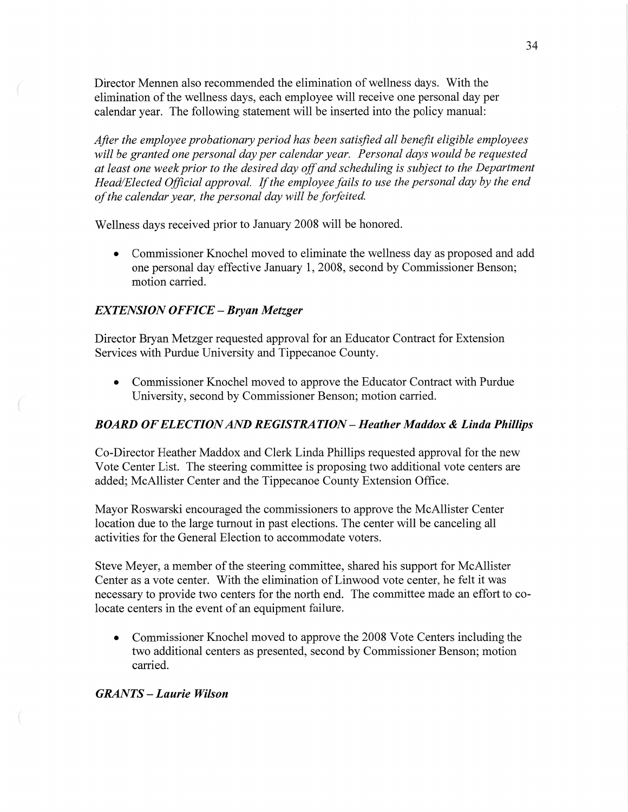Director Mennen also recommended the elimination of wellness days. With the elimination of the wellness days, each employee will receive one personal day per calendar year. The following statement will be inserted into the policy manual:

*Afier* the *employee probationary period* has *been satisfied* all *benefit eligible employees will* be *granted* one *personal* day per *calendar year. Personal days would* be *requested*  at *least* one *week prior* to the *desired* day of and *scheduling* is *subject* to the *Department Head/Elected Oflicial approval.* If the *employee fails* to use the *personal* day by the end *offhe calendar year,* the *personal* day *will* be *forfeited.* 

Wellness days received prior to January 2008 will be honored.

**a** Commissioner Knochel moved to eliminate the wellness day as proposed and add one personal day effective January 1, 2008, second by Commissioner Benson; motion carried.

### *EXTENSION OFFICE* — *Bryan Metzger*

Director Bryan Metzger requested approval for an Educator Contract for Extension Services with Purdue University and Tippecanoe County.

*0* Commissioner Knochel moved to approve the Educator Contract with Purdue University, second by Commissioner Benson; motion carried.

#### *BOARD* OF *ELECTION* AND RE *GIST* RA *T* ION **—** *Heather Maddox & Linda Phillips*

Co—Director Heather Maddox and Clerk Linda **Phillips** requested approval for the new Vote Center List. The steering committee is proposing two additional vote centers are added; McAllister Center and the Tippecanoe County Extension **Office.** 

Mayor Roswarski encouraged the commissioners to approve the McAllister Center location due to the large turnout in past elections. The center will be canceling all activities for the General Election to accommodate voters.

Steve Meyer, a member of the steering committee, shared his support for McAllister Center as a vote center. With the elimination of Linwood vote center, he felt it was necessary to provide two centers for the north end. The committee made an effort to colocate centers in the event of an equipment failure.

**0** Commissioner Knochel moved to approve the 2008 Vote Centers including the two additional centers as presented, second by Commissioner Benson; motion carried.

 $GRANTS - Laurie Wilson$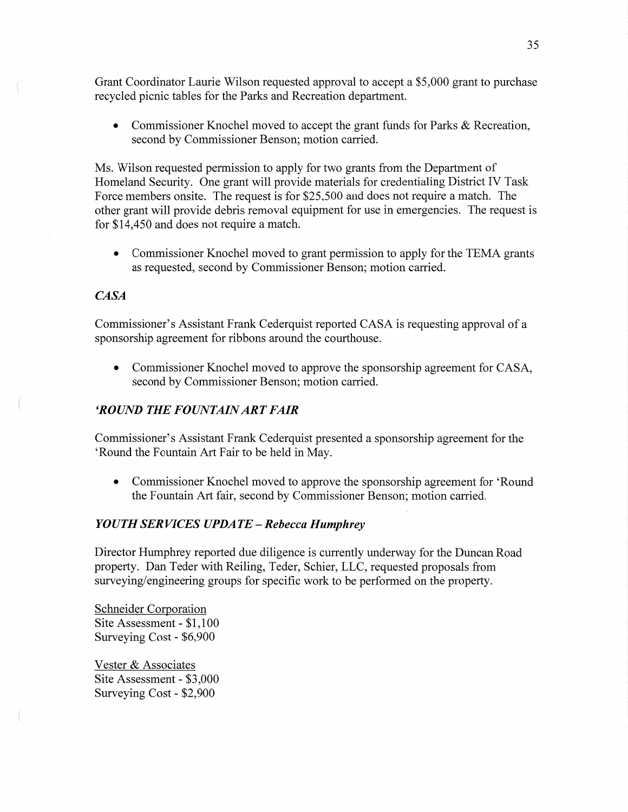Grant Coordinator Laurie Wilson requested approval to accept a \$5,000 grant to purchase recycled picnic tables for the Parks and Recreation department.

**0** Commissioner Knochel moved to accept the grant funds for Parks & Recreation, second by Commissioner Benson; motion carried.

Ms. Wilson requested permission to apply for two grants from the Department of Homeland Security. One grant will provide materials for credentialing District IV Task Force members onsite. The request is for \$25,500 and does not require a match. The other grant will provide debris removal equipment for use in emergencies. The request is for \$14,450 and does not require a match.

**0** Commissioner Knochel moved to grant permission to apply for the TEMA grants as requested, second by Commissioner Benson; motion carried.

# *CASA*

Commissioner's Assistant Frank Cederquist reported CASA is requesting approval of a **sponsorship** agreement for ribbons around the courthouse.

**0** Commissioner Knochel moved to approve the sponsorship agreement for CASA, second by Commissioner Benson; motion carried.

# *'ROUND* THE *FOUNTAINARTFAIR*

Commissioner's Assistant **Frank** Cederquist presented a sponsorship agreement for the 'Round the Fountain Art Fair to be held in May.

**0** Commissioner Knochel moved to approve the **sponsorship** agreement for 'Round the Fountain Art fair, second by Commissioner Benson; motion carried.

# *YOUTH* SER *VICES UPDATE* **—** *Rebecca Humphrey*

Director Humphrey reported due diligence is currently underway for the Duncan Road property. Dan Teder with Reiling, Teder, Schier, LLC, requested proposals from surveying/engineering groups for specific work to be performed on the property.

Schneider Corporation Site Assessment *-* \$1,100 Surveying Cost *-* \$6,900

Vester & Associates Site Assessment *-* \$3,000 Surveying Cost *-* \$2,900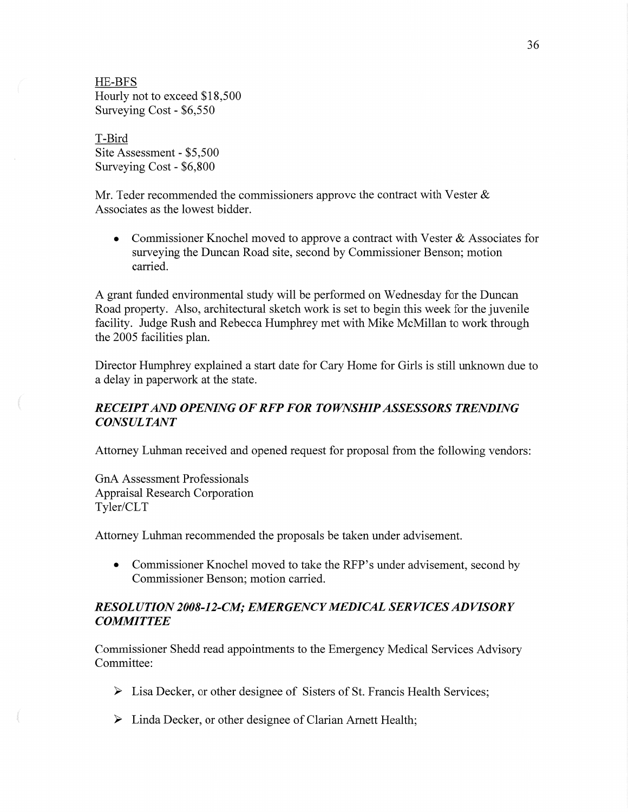HE-BFS Hourly not to exceed \$18,500 Surveying Cost - \$6,550

T-Bird Site Assessment **-** \$5,500 Surveying Cost *-* \$6,800

Mr. Teder recommended the commissioners approve the contract with Vester  $\&$ Associates as the lowest bidder.

**0** Commissioner Knochel moved to approve a contract with Vester & Associates for surveying the Duncan Road site, second by Commissioner Benson; motion carried.

A grant funded environmental study will be performed on Wednesday for the Duncan Road property. Also, architectural sketch work is set to begin this week for the juvenile facility. Judge Rush and Rebecca Humphrey met with Mike McMillan to work through the 2005 facilities plan.

Director Humphrey explained a start date for Cary Home for Girls is still unknown due to a delay in paperwork at the state.

# *RECEIPT* AND *OPENING* OF RFP FOR *TOWNSHIP ASSESSORS TRENDING CONSULTANT*

Attorney Luhman received and opened request for proposal from the following vendors:

GnA Assessment Professionals Appraisal Research Corporation Tyler/CLT

Attorney Luhman recommended the proposals be taken under advisement.

**-** Commissioner Knochel moved to **take** the RFP's under advisement, second by Commissioner Benson; motion carried.

# RES 0L *U T I* ON *2008-] 2-C1W; EMERGENCY MEDICAL* SER *VICES* AD *VISOR Y COMMITTEE*

Commissioner Shedd read appointments to the Emergency Medical Services Advisory Committee:

- > Lisa Decker, or other designee of Sisters of St. Francis Health Services;
- > **Linda** Decker, or other designee of Clarian Amett Health;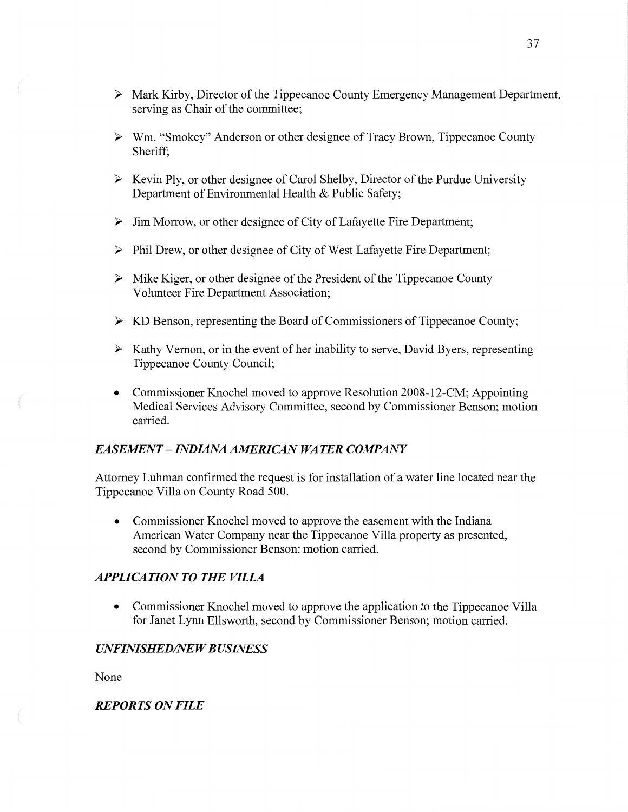- <sup>&</sup>gt;**Mark** Kirby, Director of the Tippecanoe County Emergency Management Department, serving as Chair of the committee;
- **<sup>&</sup>gt;**Wm. "Smokey" Anderson or other designee of Tracy **Brown,** Tippecanoe County Sheriff;
- $\triangleright$  Kevin Ply, or other designee of Carol Shelby, Director of the Purdue University Department of Environmental Health & Public Safety;
- **<sup>&</sup>gt;**Jim Morrow, or other designee of City of Lafayette Fire Department;
- <sup>&</sup>gt;**Phil** Drew, or other designee of City of West Lafayette Fire Department;
- $\triangleright$  Mike Kiger, or other designee of the President of the Tippecanoe County Volunteer Fire Department Association;
- <sup>&</sup>gt;KD Benson, representing the Board of Commissioners of Tippecanoe County;
- **<sup>&</sup>gt;**Kathy Vernon, or in the event of her inability to serve, David Byers, representing Tippecanoe County Council;
- **0** Commissioner Knochel moved to approve Resolution 2008-12-CM; Appointing Medical Services Advisory Committee, second by Commissioner Benson; motion carried.

### *EASEJMEN T* **—** *INDIANA AMERICAN* WA *T* ER *COMPANY*

Attorney **Luhman** confirmed the request is for installation of a water line located near the Tippecanoe Villa on County Road 500.

*0* Commissioner Knochel moved to approve the easement with the Indiana American Water Company near the Tippecanoe Villa property as presented, second by Commissioner Benson; motion carried.

## *APPLICATION TO THE VILLA*

**0** Commissioner Knochel moved to approve the application to the Tippecanoe **Villa**  for Janet Lynn Ellsworth, second by Commissioner Benson; motion carried.

## **UNFINISHED/NEW BUSINESS**

None

# *REPORTS* ON *FILE*